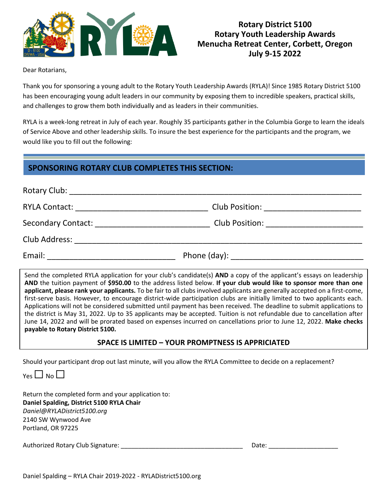

## **Rotary District 5100 Rotary Youth Leadership Awards Menucha Retreat Center, Corbett, Oregon July 9-15 2022**

Dear Rotarians,

Thank you for sponsoring a young adult to the Rotary Youth Leadership Awards (RYLA)! Since 1985 Rotary District 5100 has been encouraging young adult leaders in our community by exposing them to incredible speakers, practical skills, and challenges to grow them both individually and as leaders in their communities.

RYLA is a week-long retreat in July of each year. Roughly 35 participants gather in the Columbia Gorge to learn the ideals of Service Above and other leadership skills. To insure the best experience for the participants and the program, we would like you to fill out the following:

## **SPONSORING ROTARY CLUB COMPLETES THIS SECTION:**

|                                                 | Club Position: _______________________ |  |
|-------------------------------------------------|----------------------------------------|--|
| <b>Secondary Contact:</b>                       | Club Position: ______________________  |  |
| Club Address: <u>__________________________</u> |                                        |  |
| Email:                                          |                                        |  |

Send the completed RYLA application for your club's candidate(s) **AND** a copy of the applicant's essays on leadership **AND** the tuition payment of **\$950.00** to the address listed below. **If your club would like to sponsor more than one applicant, please rank your applicants.** To be fair to all clubs involved applicants are generally accepted on a first-come, first-serve basis. However, to encourage district-wide participation clubs are initially limited to two applicants each. Applications will not be considered submitted until payment has been received. The deadline to submit applications to the district is May 31, 2022. Up to 35 applicants may be accepted. Tuition is not refundable due to cancellation after June 14, 2022 and will be prorated based on expenses incurred on cancellations prior to June 12, 2022. **Make checks payable to Rotary District 5100.**

### **SPACE IS LIMITED – YOUR PROMPTNESS IS APPRICIATED**

Should your participant drop out last minute, will you allow the RYLA Committee to decide on a replacement?

 $V_{PS}$   $\Box$  No  $\Box$ 

Return the completed form and your application to: **Daniel Spalding, District 5100 RYLA Chair** *Daniel@RYLADistrict5100.org* 2140 SW Wynwood Ave Portland, OR 97225

Authorized Rotary Club Signature: \_\_\_\_\_\_\_\_\_\_\_\_\_\_\_\_\_\_\_\_\_\_\_\_\_\_\_\_\_\_\_\_\_\_\_ Date: \_\_\_\_\_\_\_\_\_\_\_\_\_\_\_\_\_\_\_\_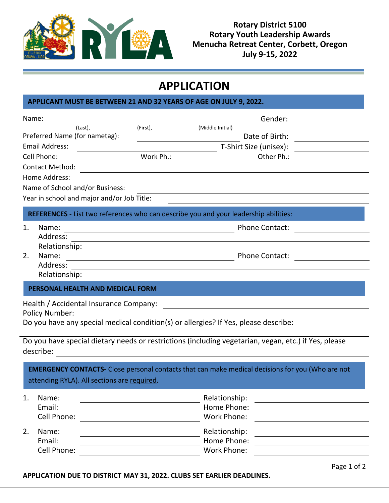

**Rotary District 5100 Rotary Youth Leadership Awards Menucha Retreat Center, Corbett, Oregon July 9-15, 2022**

# **APPLICATION**

### **APPLICANT MUST BE BETWEEN 21 AND 32 YEARS OF AGE ON JULY 9, 2022.**

|    | Name:                                                                                                                                                  |                                                         |                  | Gender:                                                                                                 |
|----|--------------------------------------------------------------------------------------------------------------------------------------------------------|---------------------------------------------------------|------------------|---------------------------------------------------------------------------------------------------------|
|    | (Last),                                                                                                                                                | (First),                                                | (Middle Initial) |                                                                                                         |
|    | Preferred Name (for nametag):                                                                                                                          |                                                         |                  | Date of Birth:                                                                                          |
|    | <b>Email Address:</b>                                                                                                                                  |                                                         |                  | T-Shirt Size (unisex):                                                                                  |
|    | Cell Phone:                                                                                                                                            | Work Ph.:                                               |                  | Other Ph.:                                                                                              |
|    | <b>Contact Method:</b>                                                                                                                                 |                                                         |                  |                                                                                                         |
|    | Home Address:                                                                                                                                          |                                                         |                  |                                                                                                         |
|    | Name of School and/or Business:                                                                                                                        |                                                         |                  |                                                                                                         |
|    | Year in school and major and/or Job Title:                                                                                                             |                                                         |                  |                                                                                                         |
|    | REFERENCES - List two references who can describe you and your leadership abilities:                                                                   |                                                         |                  |                                                                                                         |
| 1. | Name:                                                                                                                                                  |                                                         |                  | <b>Phone Contact:</b>                                                                                   |
|    | Address:                                                                                                                                               |                                                         |                  |                                                                                                         |
|    | Relationship:                                                                                                                                          |                                                         |                  |                                                                                                         |
| 2. | Name:                                                                                                                                                  | <u> 1989 - Johann Barnett, fransk politik (d. 1989)</u> |                  | <b>Phone Contact:</b>                                                                                   |
|    | Address:                                                                                                                                               |                                                         |                  |                                                                                                         |
|    | Relationship:                                                                                                                                          |                                                         |                  |                                                                                                         |
|    | PERSONAL HEALTH AND MEDICAL FORM                                                                                                                       |                                                         |                  |                                                                                                         |
|    | Health / Accidental Insurance Company:<br><b>Policy Number:</b><br>Do you have any special medical condition(s) or allergies? If Yes, please describe: |                                                         |                  |                                                                                                         |
|    |                                                                                                                                                        |                                                         |                  |                                                                                                         |
|    | Do you have special dietary needs or restrictions (including vegetarian, vegan, etc.) if Yes, please<br>describe:                                      |                                                         |                  |                                                                                                         |
|    |                                                                                                                                                        |                                                         |                  | <b>EMERGENCY CONTACTS-</b> Close personal contacts that can make medical decisions for you (Who are not |

attending RYLA). All sections are required.

| 1. | Name:<br>Email:<br>Cell Phone: | Relationship:<br>Home Phone:<br>Work Phone: |
|----|--------------------------------|---------------------------------------------|
| 2. | Name:                          | Relationship:                               |
|    | Email:                         | Home Phone:                                 |
|    | Cell Phone:                    | Work Phone:                                 |

**APPLICATION DUE TO DISTRICT MAY 31, 2022. CLUBS SET EARLIER DEADLINES.**